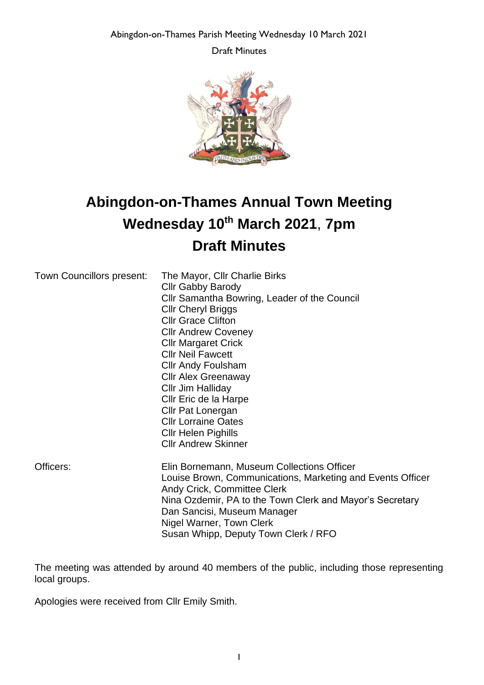Abingdon-on-Thames Parish Meeting Wednesday 10 March 2021

Draft Minutes



# **Abingdon-on-Thames Annual Town Meeting Wednesday 10th March 2021**, **7pm Draft Minutes**

| Town Councillors present: | The Mayor, Cllr Charlie Birks                              |
|---------------------------|------------------------------------------------------------|
|                           | <b>Cllr Gabby Barody</b>                                   |
|                           | Cllr Samantha Bowring, Leader of the Council               |
|                           | <b>CIIr Cheryl Briggs</b>                                  |
|                           | <b>CIIr Grace Clifton</b>                                  |
|                           | <b>Cllr Andrew Coveney</b>                                 |
|                           | <b>Cllr Margaret Crick</b>                                 |
|                           | <b>CIIr Neil Fawcett</b>                                   |
|                           | <b>Cllr Andy Foulsham</b>                                  |
|                           | <b>Cllr Alex Greenaway</b>                                 |
|                           | Cllr Jim Halliday                                          |
|                           | Cllr Eric de la Harpe                                      |
|                           | <b>Cllr Pat Lonergan</b>                                   |
|                           | <b>Cllr Lorraine Oates</b>                                 |
|                           | <b>CIIr Helen Pighills</b>                                 |
|                           | <b>Cllr Andrew Skinner</b>                                 |
| Officers:                 | Elin Bornemann, Museum Collections Officer                 |
|                           | Louise Brown, Communications, Marketing and Events Officer |
|                           | <b>Andy Crick, Committee Clerk</b>                         |
|                           | Nina Ozdemir, PA to the Town Clerk and Mayor's Secretary   |
|                           | Dan Sancisi, Museum Manager                                |

Nigel Warner, Town Clerk

Susan Whipp, Deputy Town Clerk / RFO

The meeting was attended by around 40 members of the public, including those representing local groups.

Apologies were received from Cllr Emily Smith.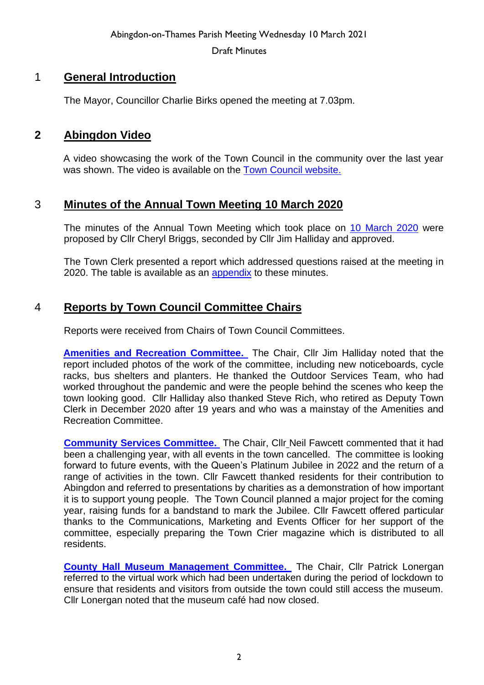# 1 **General Introduction**

The Mayor, Councillor Charlie Birks opened the meeting at 7.03pm.

### **2 Abingdon Video**

A video showcasing the work of the Town Council in the community over the last year was shown. The video is available on the **Town Council website.** 

# 3 **Minutes of the Annual Town Meeting 10 March 2020**

The minutes of the Annual Town Meeting which took place on 10 [March 2020](https://www.abingdon.gov.uk/wp-content/uploads/2021/06/Minutes-Annual-Parish-Mtg-2020.pdf) were proposed by Cllr Cheryl Briggs, seconded by Cllr Jim Halliday and approved.

The Town Clerk presented a report which addressed questions raised at the meeting in 2020. The table is available as an [appendix](https://www.abingdon.gov.uk/wp-content/uploads/2021/06/Table-of-Questions-Answers-from-Annual-Parish-Meeting-10th-March-2020.pdf) to these minutes.

# 4 **Reports by Town Council Committee Chairs**

Reports were received from Chairs of Town Council Committees.

**[Amenities and Recreation Committee.](https://www.abingdon.gov.uk/wp-content/uploads/2021/06/Abingdon-Parish-Meeting-10.3.21-Amenities-and-Recreation-Committee-Report-of-the-Chair-of-FINAL.pdf)** The Chair, Cllr Jim Halliday noted that the report included photos of the work of the committee, including new noticeboards, cycle racks, bus shelters and planters. He thanked the Outdoor Services Team, who had worked throughout the pandemic and were the people behind the scenes who keep the town looking good. Cllr Halliday also thanked Steve Rich, who retired as Deputy Town Clerk in December 2020 after 19 years and who was a mainstay of the Amenities and Recreation Committee.

**[Community Services Committee.](https://www.abingdon.gov.uk/wp-content/uploads/2021/06/Abingdon-Parish-Meeting-10.3.21-Community-Services-Committee-Report-FINAL.pdf)** The Chair, Cllr Neil Fawcett commented that it had been a challenging year, with all events in the town cancelled. The committee is looking forward to future events, with the Queen's Platinum Jubilee in 2022 and the return of a range of activities in the town. Cllr Fawcett thanked residents for their contribution to Abingdon and referred to presentations by charities as a demonstration of how important it is to support young people. The Town Council planned a major project for the coming year, raising funds for a bandstand to mark the Jubilee. Cllr Fawcett offered particular thanks to the Communications, Marketing and Events Officer for her support of the committee, especially preparing the Town Crier magazine which is distributed to all residents.

**[County Hall Museum Management Committee.](https://www.abingdon.gov.uk/wp-content/uploads/2021/06/Abingdon-Parish-Meeting-10.3.21-CHMMC-Report-of-Chair-FINAL.pdf)** The Chair, Cllr Patrick Lonergan referred to the virtual work which had been undertaken during the period of lockdown to ensure that residents and visitors from outside the town could still access the museum. Cllr Lonergan noted that the museum café had now closed.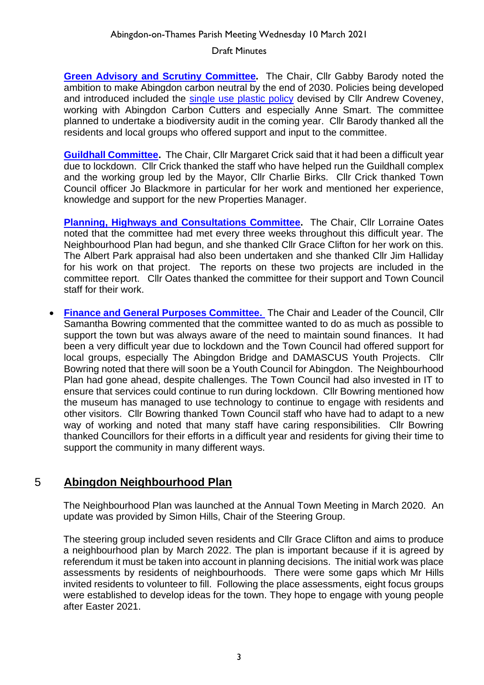**Green Advisory and [Scrutiny Committee.](https://www.abingdon.gov.uk/wp-content/uploads/2021/06/Abingdon-Parish-Meeting-10.3.21-Green-Advisory-and-Scrutiny-Committee-Report-of-Chair-FINAL.pdf)** The Chair, Cllr Gabby Barody noted the ambition to make Abingdon carbon neutral by the end of 2030. Policies being developed and introduced included the [single use plastic policy](https://www.abingdon.gov.uk/wp-content/uploads/2021/06/Single-Use-Plastic-Policy.pdf) devised by Cllr Andrew Coveney, working with Abingdon Carbon Cutters and especially Anne Smart. The committee planned to undertake a biodiversity audit in the coming year. Cllr Barody thanked all the residents and local groups who offered support and input to the committee.

**[Guildhall Committee.](https://www.abingdon.gov.uk/wp-content/uploads/2021/06/Abingdon-Parish-Meeting-10.3.21-Guildhall-Committee-Report-FINAL.pdf)** The Chair, Cllr Margaret Crick said that it had been a difficult year due to lockdown. Cllr Crick thanked the staff who have helped run the Guildhall complex and the working group led by the Mayor, Cllr Charlie Birks. Cllr Crick thanked Town Council officer Jo Blackmore in particular for her work and mentioned her experience, knowledge and support for the new Properties Manager.

**[Planning, Highways and Consultations Committee.](https://www.abingdon.gov.uk/wp-content/uploads/2021/06/Abingdon-Parish-Meeting-10.3.21-Report-of-Chair-Planning-Highways-and-Consultations-FINAL.pdf)** The Chair, Cllr Lorraine Oates noted that the committee had met every three weeks throughout this difficult year. The Neighbourhood Plan had begun, and she thanked Cllr Grace Clifton for her work on this. The Albert Park appraisal had also been undertaken and she thanked Cllr Jim Halliday for his work on that project. The reports on these two projects are included in the committee report. Cllr Oates thanked the committee for their support and Town Council staff for their work.

• **[Finance and General Purposes Committee.](https://www.abingdon.gov.uk/wp-content/uploads/2021/06/Abingdon-Parish-Meeting-10.3.21-Finance-and-General-Purposes-FINAL.pdf)** The Chair and Leader of the Council, Cllr Samantha Bowring commented that the committee wanted to do as much as possible to support the town but was always aware of the need to maintain sound finances. It had been a very difficult year due to lockdown and the Town Council had offered support for local groups, especially The Abingdon Bridge and DAMASCUS Youth Projects. Cllr Bowring noted that there will soon be a Youth Council for Abingdon. The Neighbourhood Plan had gone ahead, despite challenges. The Town Council had also invested in IT to ensure that services could continue to run during lockdown. Cllr Bowring mentioned how the museum has managed to use technology to continue to engage with residents and other visitors. Cllr Bowring thanked Town Council staff who have had to adapt to a new way of working and noted that many staff have caring responsibilities. Cllr Bowring thanked Councillors for their efforts in a difficult year and residents for giving their time to support the community in many different ways.

# 5 **Abingdon Neighbourhood Plan**

The Neighbourhood Plan was launched at the Annual Town Meeting in March 2020. An update was provided by Simon Hills, Chair of the Steering Group.

The steering group included seven residents and Cllr Grace Clifton and aims to produce a neighbourhood plan by March 2022. The plan is important because if it is agreed by referendum it must be taken into account in planning decisions. The initial work was place assessments by residents of neighbourhoods. There were some gaps which Mr Hills invited residents to volunteer to fill. Following the place assessments, eight focus groups were established to develop ideas for the town. They hope to engage with young people after Easter 2021.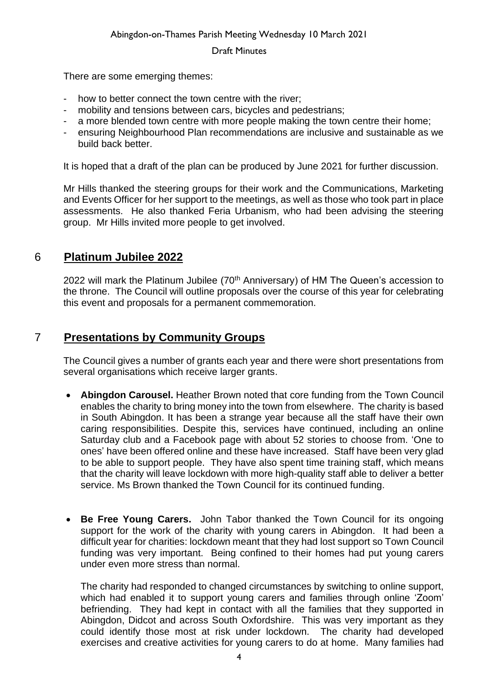There are some emerging themes:

- how to better connect the town centre with the river:
- mobility and tensions between cars, bicycles and pedestrians;
- a more blended town centre with more people making the town centre their home:
- ensuring Neighbourhood Plan recommendations are inclusive and sustainable as we build back better.

It is hoped that a draft of the plan can be produced by June 2021 for further discussion.

Mr Hills thanked the steering groups for their work and the Communications, Marketing and Events Officer for her support to the meetings, as well as those who took part in place assessments. He also thanked Feria Urbanism, who had been advising the steering group. Mr Hills invited more people to get involved.

# 6 **Platinum Jubilee 2022**

2022 will mark the Platinum Jubilee (70<sup>th</sup> Anniversary) of HM The Queen's accession to the throne. The Council will outline proposals over the course of this year for celebrating this event and proposals for a permanent commemoration.

# 7 **Presentations by Community Groups**

The Council gives a number of grants each year and there were short presentations from several organisations which receive larger grants.

- **Abingdon Carousel.** Heather Brown noted that core funding from the Town Council enables the charity to bring money into the town from elsewhere. The charity is based in South Abingdon. It has been a strange year because all the staff have their own caring responsibilities. Despite this, services have continued, including an online Saturday club and a Facebook page with about 52 stories to choose from. 'One to ones' have been offered online and these have increased. Staff have been very glad to be able to support people. They have also spent time training staff, which means that the charity will leave lockdown with more high-quality staff able to deliver a better service. Ms Brown thanked the Town Council for its continued funding.
- **Be Free Young Carers.** John Tabor thanked the Town Council for its ongoing support for the work of the charity with young carers in Abingdon. It had been a difficult year for charities: lockdown meant that they had lost support so Town Council funding was very important. Being confined to their homes had put young carers under even more stress than normal.

The charity had responded to changed circumstances by switching to online support, which had enabled it to support young carers and families through online 'Zoom' befriending. They had kept in contact with all the families that they supported in Abingdon, Didcot and across South Oxfordshire. This was very important as they could identify those most at risk under lockdown. The charity had developed exercises and creative activities for young carers to do at home. Many families had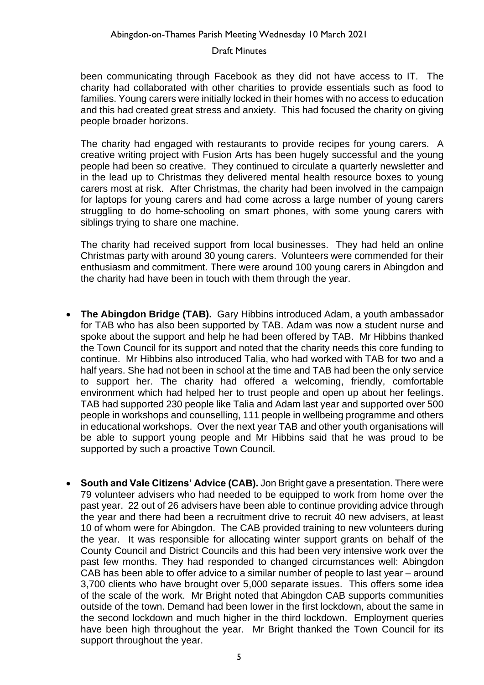been communicating through Facebook as they did not have access to IT. The charity had collaborated with other charities to provide essentials such as food to families. Young carers were initially locked in their homes with no access to education and this had created great stress and anxiety. This had focused the charity on giving people broader horizons.

The charity had engaged with restaurants to provide recipes for young carers. A creative writing project with Fusion Arts has been hugely successful and the young people had been so creative. They continued to circulate a quarterly newsletter and in the lead up to Christmas they delivered mental health resource boxes to young carers most at risk. After Christmas, the charity had been involved in the campaign for laptops for young carers and had come across a large number of young carers struggling to do home-schooling on smart phones, with some young carers with siblings trying to share one machine.

The charity had received support from local businesses. They had held an online Christmas party with around 30 young carers. Volunteers were commended for their enthusiasm and commitment. There were around 100 young carers in Abingdon and the charity had have been in touch with them through the year.

- **The Abingdon Bridge (TAB).** Gary Hibbins introduced Adam, a youth ambassador for TAB who has also been supported by TAB. Adam was now a student nurse and spoke about the support and help he had been offered by TAB. Mr Hibbins thanked the Town Council for its support and noted that the charity needs this core funding to continue. Mr Hibbins also introduced Talia, who had worked with TAB for two and a half years. She had not been in school at the time and TAB had been the only service to support her. The charity had offered a welcoming, friendly, comfortable environment which had helped her to trust people and open up about her feelings. TAB had supported 230 people like Talia and Adam last year and supported over 500 people in workshops and counselling, 111 people in wellbeing programme and others in educational workshops. Over the next year TAB and other youth organisations will be able to support young people and Mr Hibbins said that he was proud to be supported by such a proactive Town Council.
- **South and Vale Citizens' Advice (CAB).** Jon Bright gave a presentation. There were 79 volunteer advisers who had needed to be equipped to work from home over the past year. 22 out of 26 advisers have been able to continue providing advice through the year and there had been a recruitment drive to recruit 40 new advisers, at least 10 of whom were for Abingdon. The CAB provided training to new volunteers during the year. It was responsible for allocating winter support grants on behalf of the County Council and District Councils and this had been very intensive work over the past few months. They had responded to changed circumstances well: Abingdon CAB has been able to offer advice to a similar number of people to last year – around 3,700 clients who have brought over 5,000 separate issues. This offers some idea of the scale of the work. Mr Bright noted that Abingdon CAB supports communities outside of the town. Demand had been lower in the first lockdown, about the same in the second lockdown and much higher in the third lockdown. Employment queries have been high throughout the year. Mr Bright thanked the Town Council for its support throughout the year.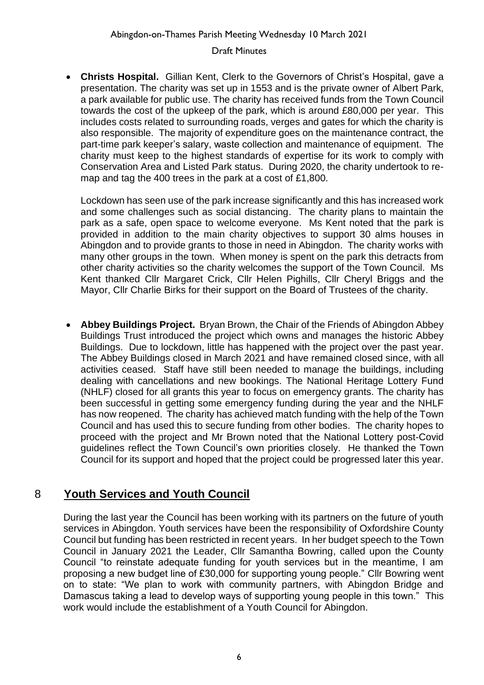• **Christs Hospital.** Gillian Kent, Clerk to the Governors of Christ's Hospital, gave a presentation. The charity was set up in 1553 and is the private owner of Albert Park, a park available for public use. The charity has received funds from the Town Council towards the cost of the upkeep of the park, which is around £80,000 per year. This includes costs related to surrounding roads, verges and gates for which the charity is also responsible. The majority of expenditure goes on the maintenance contract, the part-time park keeper's salary, waste collection and maintenance of equipment. The charity must keep to the highest standards of expertise for its work to comply with Conservation Area and Listed Park status. During 2020, the charity undertook to remap and tag the 400 trees in the park at a cost of £1,800.

Lockdown has seen use of the park increase significantly and this has increased work and some challenges such as social distancing. The charity plans to maintain the park as a safe, open space to welcome everyone. Ms Kent noted that the park is provided in addition to the main charity objectives to support 30 alms houses in Abingdon and to provide grants to those in need in Abingdon. The charity works with many other groups in the town. When money is spent on the park this detracts from other charity activities so the charity welcomes the support of the Town Council. Ms Kent thanked Cllr Margaret Crick, Cllr Helen Pighills, Cllr Cheryl Briggs and the Mayor, Cllr Charlie Birks for their support on the Board of Trustees of the charity.

• **Abbey Buildings Project.** Bryan Brown, the Chair of the Friends of Abingdon Abbey Buildings Trust introduced the project which owns and manages the historic Abbey Buildings. Due to lockdown, little has happened with the project over the past year. The Abbey Buildings closed in March 2021 and have remained closed since, with all activities ceased. Staff have still been needed to manage the buildings, including dealing with cancellations and new bookings. The National Heritage Lottery Fund (NHLF) closed for all grants this year to focus on emergency grants. The charity has been successful in getting some emergency funding during the year and the NHLF has now reopened. The charity has achieved match funding with the help of the Town Council and has used this to secure funding from other bodies. The charity hopes to proceed with the project and Mr Brown noted that the National Lottery post-Covid guidelines reflect the Town Council's own priorities closely. He thanked the Town Council for its support and hoped that the project could be progressed later this year.

# 8 **Youth Services and Youth Council**

During the last year the Council has been working with its partners on the future of youth services in Abingdon. Youth services have been the responsibility of Oxfordshire County Council but funding has been restricted in recent years. In her budget speech to the Town Council in January 2021 the Leader, Cllr Samantha Bowring, called upon the County Council "to reinstate adequate funding for youth services but in the meantime, I am proposing a new budget line of £30,000 for supporting young people." Cllr Bowring went on to state: "We plan to work with community partners, with Abingdon Bridge and Damascus taking a lead to develop ways of supporting young people in this town." This work would include the establishment of a Youth Council for Abingdon.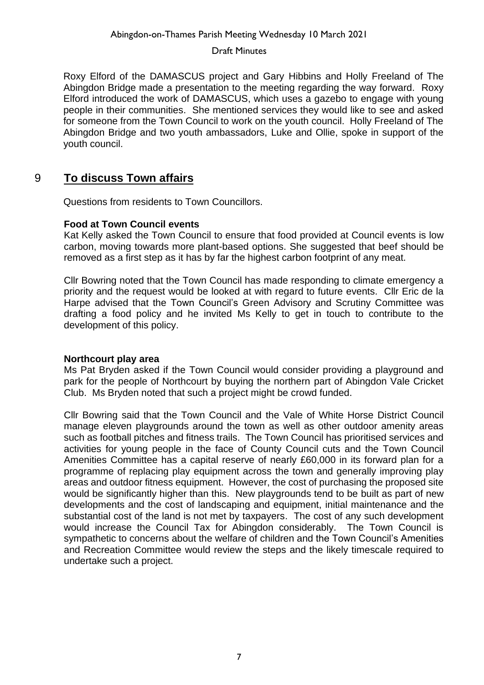Roxy Elford of the DAMASCUS project and Gary Hibbins and Holly Freeland of The Abingdon Bridge made a presentation to the meeting regarding the way forward. Roxy Elford introduced the work of DAMASCUS, which uses a gazebo to engage with young people in their communities. She mentioned services they would like to see and asked for someone from the Town Council to work on the youth council. Holly Freeland of The Abingdon Bridge and two youth ambassadors, Luke and Ollie, spoke in support of the youth council.

# 9 **To discuss Town affairs**

Questions from residents to Town Councillors.

### **Food at Town Council events**

Kat Kelly asked the Town Council to ensure that food provided at Council events is low carbon, moving towards more plant-based options. She suggested that beef should be removed as a first step as it has by far the highest carbon footprint of any meat.

Cllr Bowring noted that the Town Council has made responding to climate emergency a priority and the request would be looked at with regard to future events. Cllr Eric de la Harpe advised that the Town Council's Green Advisory and Scrutiny Committee was drafting a food policy and he invited Ms Kelly to get in touch to contribute to the development of this policy.

### **Northcourt play area**

Ms Pat Bryden asked if the Town Council would consider providing a playground and park for the people of Northcourt by buying the northern part of Abingdon Vale Cricket Club. Ms Bryden noted that such a project might be crowd funded.

Cllr Bowring said that the Town Council and the Vale of White Horse District Council manage eleven playgrounds around the town as well as other outdoor amenity areas such as football pitches and fitness trails. The Town Council has prioritised services and activities for young people in the face of County Council cuts and the Town Council Amenities Committee has a capital reserve of nearly £60,000 in its forward plan for a programme of replacing play equipment across the town and generally improving play areas and outdoor fitness equipment. However, the cost of purchasing the proposed site would be significantly higher than this. New playgrounds tend to be built as part of new developments and the cost of landscaping and equipment, initial maintenance and the substantial cost of the land is not met by taxpayers. The cost of any such development would increase the Council Tax for Abingdon considerably. The Town Council is sympathetic to concerns about the welfare of children and the Town Council's Amenities and Recreation Committee would review the steps and the likely timescale required to undertake such a project.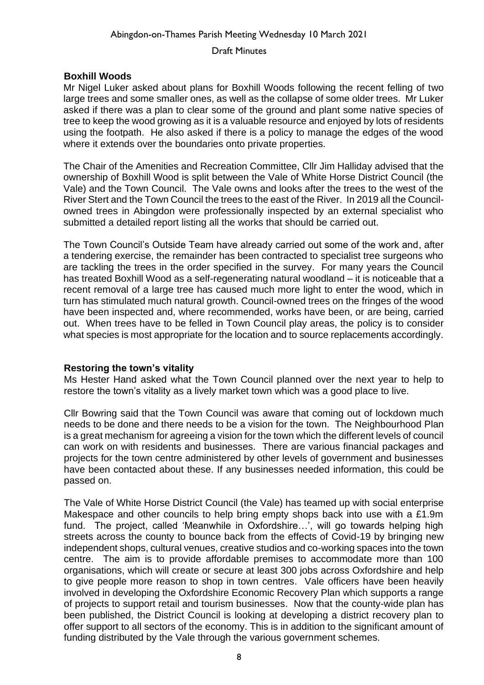#### Abingdon-on-Thames Parish Meeting Wednesday 10 March 2021

### Draft Minutes

### **Boxhill Woods**

Mr Nigel Luker asked about plans for Boxhill Woods following the recent felling of two large trees and some smaller ones, as well as the collapse of some older trees. Mr Luker asked if there was a plan to clear some of the ground and plant some native species of tree to keep the wood growing as it is a valuable resource and enjoyed by lots of residents using the footpath. He also asked if there is a policy to manage the edges of the wood where it extends over the boundaries onto private properties.

The Chair of the Amenities and Recreation Committee, Cllr Jim Halliday advised that the ownership of Boxhill Wood is split between the Vale of White Horse District Council (the Vale) and the Town Council. The Vale owns and looks after the trees to the west of the River Stert and the Town Council the trees to the east of the River. In 2019 all the Councilowned trees in Abingdon were professionally inspected by an external specialist who submitted a detailed report listing all the works that should be carried out.

The Town Council's Outside Team have already carried out some of the work and, after a tendering exercise, the remainder has been contracted to specialist tree surgeons who are tackling the trees in the order specified in the survey. For many years the Council has treated Boxhill Wood as a self-regenerating natural woodland – it is noticeable that a recent removal of a large tree has caused much more light to enter the wood, which in turn has stimulated much natural growth. Council-owned trees on the fringes of the wood have been inspected and, where recommended, works have been, or are being, carried out. When trees have to be felled in Town Council play areas, the policy is to consider what species is most appropriate for the location and to source replacements accordingly.

### **Restoring the town's vitality**

Ms Hester Hand asked what the Town Council planned over the next year to help to restore the town's vitality as a lively market town which was a good place to live.

Cllr Bowring said that the Town Council was aware that coming out of lockdown much needs to be done and there needs to be a vision for the town. The Neighbourhood Plan is a great mechanism for agreeing a vision for the town which the different levels of council can work on with residents and businesses. There are various financial packages and projects for the town centre administered by other levels of government and businesses have been contacted about these. If any businesses needed information, this could be passed on.

The Vale of White Horse District Council (the Vale) has teamed up with social enterprise Makespace and other councils to help bring empty shops back into use with a £1.9m fund. The project, called 'Meanwhile in Oxfordshire…', will go towards helping high streets across the county to bounce back from the effects of Covid-19 by bringing new independent shops, cultural venues, creative studios and co-working spaces into the town centre. The aim is to provide affordable premises to accommodate more than 100 organisations, which will create or secure at least 300 jobs across Oxfordshire and help to give people more reason to shop in town centres. Vale officers have been heavily involved in developing the Oxfordshire Economic Recovery Plan which supports a range of projects to support retail and tourism businesses. Now that the county-wide plan has been published, the District Council is looking at developing a district recovery plan to offer support to all sectors of the economy. This is in addition to the significant amount of funding distributed by the Vale through the various government schemes.